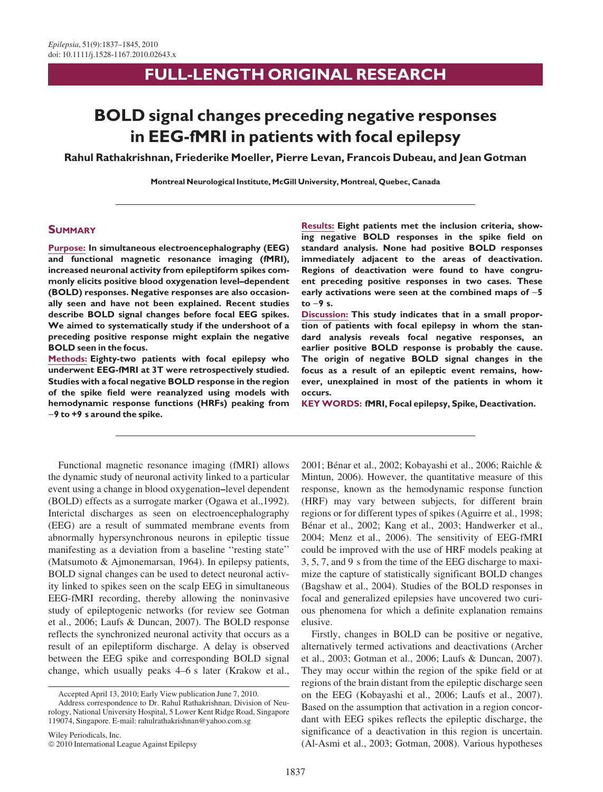# FULL-LENGTH ORIGINAL RESEARCH

# BOLD signal changes preceding negative responses in EEG-fMRI in patients with focal epilepsy

Rahul Rathakrishnan, Friederike Moeller, Pierre Levan, Francois Dubeau, and Jean Gotman

Montreal Neurological Institute, McGill University, Montreal, Quebec, Canada

# **SUMMARY**

Purpose: In simultaneous electroencephalography (EEG) and functional magnetic resonance imaging (fMRI), increased neuronal activity from epileptiform spikes commonly elicits positive blood oxygenation level–dependent (BOLD) responses. Negative responses are also occasionally seen and have not been explained. Recent studies describe BOLD signal changes before focal EEG spikes. We aimed to systematically study if the undershoot of a preceding positive response might explain the negative BOLD seen in the focus.

Methods: Eighty-two patients with focal epilepsy who underwent EEG-fMRI at 3T were retrospectively studied. Studies with a focal negative BOLD response in the region of the spike field were reanalyzed using models with hemodynamic response functions (HRFs) peaking from  $-9$  to  $+9$  s around the spike.

Results: Eight patients met the inclusion criteria, showing negative BOLD responses in the spike field on standard analysis. None had positive BOLD responses immediately adjacent to the areas of deactivation. Regions of deactivation were found to have congruent preceding positive responses in two cases. These early activations were seen at the combined maps of  $-5$ to  $-9$  s.

Discussion: This study indicates that in a small proportion of patients with focal epilepsy in whom the standard analysis reveals focal negative responses, an earlier positive BOLD response is probably the cause. The origin of negative BOLD signal changes in the focus as a result of an epileptic event remains, however, unexplained in most of the patients in whom it occurs.

KEY WORDS: fMRI, Focal epilepsy, Spike, Deactivation.

Functional magnetic resonance imaging (fMRI) allows the dynamic study of neuronal activity linked to a particular event using a change in blood oxygenation–level dependent (BOLD) effects as a surrogate marker (Ogawa et al.,1992). Interictal discharges as seen on electroencephalography (EEG) are a result of summated membrane events from abnormally hypersynchronous neurons in epileptic tissue manifesting as a deviation from a baseline "resting state" (Matsumoto & Ajmonemarsan, 1964). In epilepsy patients, BOLD signal changes can be used to detect neuronal activity linked to spikes seen on the scalp EEG in simultaneous EEG-fMRI recording, thereby allowing the noninvasive study of epileptogenic networks (for review see Gotman et al., 2006; Laufs & Duncan, 2007). The BOLD response reflects the synchronized neuronal activity that occurs as a result of an epileptiform discharge. A delay is observed between the EEG spike and corresponding BOLD signal change, which usually peaks 4–6 s later (Krakow et al.,

2001; Bénar et al., 2002; Kobayashi et al., 2006; Raichle & Mintun, 2006). However, the quantitative measure of this response, known as the hemodynamic response function (HRF) may vary between subjects, for different brain regions or for different types of spikes (Aguirre et al., 1998; Bénar et al., 2002; Kang et al., 2003; Handwerker et al., 2004; Menz et al., 2006). The sensitivity of EEG-fMRI could be improved with the use of HRF models peaking at 3, 5, 7, and 9 s from the time of the EEG discharge to maximize the capture of statistically significant BOLD changes (Bagshaw et al., 2004). Studies of the BOLD responses in focal and generalized epilepsies have uncovered two curious phenomena for which a definite explanation remains elusive.

Firstly, changes in BOLD can be positive or negative, alternatively termed activations and deactivations (Archer et al., 2003; Gotman et al., 2006; Laufs & Duncan, 2007). They may occur within the region of the spike field or at regions of the brain distant from the epileptic discharge seen on the EEG (Kobayashi et al., 2006; Laufs et al., 2007). Based on the assumption that activation in a region concordant with EEG spikes reflects the epileptic discharge, the significance of a deactivation in this region is uncertain. (Al-Asmi et al., 2003; Gotman, 2008). Various hypotheses

Accepted April 13, 2010; Early View publication June 7, 2010.

Address correspondence to Dr. Rahul Rathakrishnan, Division of Neurology, National University Hospital, 5 Lower Kent Ridge Road, Singapore 119074, Singapore. E-mail: rahulrathakrishnan@yahoo.com.sg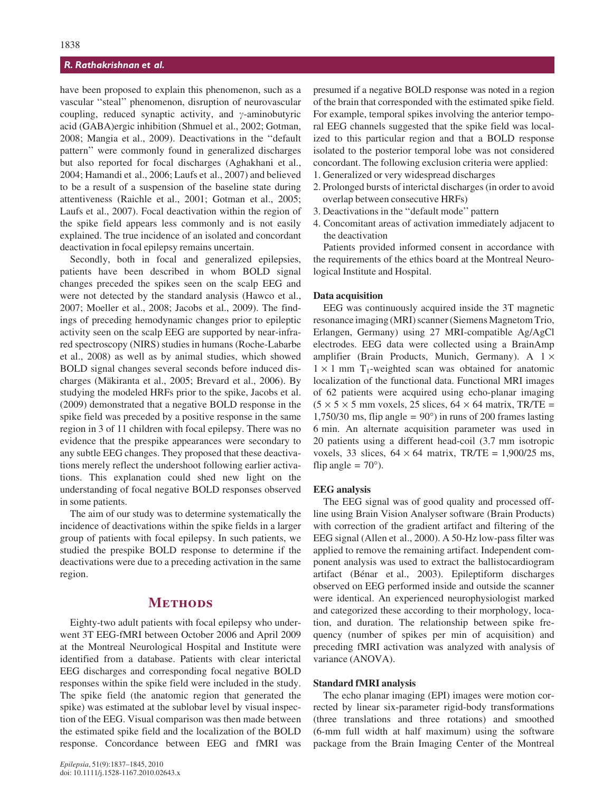have been proposed to explain this phenomenon, such as a vascular ''steal'' phenomenon, disruption of neurovascular coupling, reduced synaptic activity, and  $\gamma$ -aminobutyric acid (GABA)ergic inhibition (Shmuel et al., 2002; Gotman, 2008; Mangia et al., 2009). Deactivations in the ''default pattern'' were commonly found in generalized discharges but also reported for focal discharges (Aghakhani et al., 2004; Hamandi et al., 2006; Laufs et al., 2007) and believed to be a result of a suspension of the baseline state during attentiveness (Raichle et al., 2001; Gotman et al., 2005; Laufs et al., 2007). Focal deactivation within the region of the spike field appears less commonly and is not easily explained. The true incidence of an isolated and concordant deactivation in focal epilepsy remains uncertain.

Secondly, both in focal and generalized epilepsies, patients have been described in whom BOLD signal changes preceded the spikes seen on the scalp EEG and were not detected by the standard analysis (Hawco et al., 2007; Moeller et al., 2008; Jacobs et al., 2009). The findings of preceding hemodynamic changes prior to epileptic activity seen on the scalp EEG are supported by near-infrared spectroscopy (NIRS) studies in humans (Roche-Labarbe et al., 2008) as well as by animal studies, which showed BOLD signal changes several seconds before induced discharges (Mäkiranta et al., 2005; Brevard et al., 2006). By studying the modeled HRFs prior to the spike, Jacobs et al. (2009) demonstrated that a negative BOLD response in the spike field was preceded by a positive response in the same region in 3 of 11 children with focal epilepsy. There was no evidence that the prespike appearances were secondary to any subtle EEG changes. They proposed that these deactivations merely reflect the undershoot following earlier activations. This explanation could shed new light on the understanding of focal negative BOLD responses observed in some patients.

The aim of our study was to determine systematically the incidence of deactivations within the spike fields in a larger group of patients with focal epilepsy. In such patients, we studied the prespike BOLD response to determine if the deactivations were due to a preceding activation in the same region.

# **METHODS**

Eighty-two adult patients with focal epilepsy who underwent 3T EEG-fMRI between October 2006 and April 2009 at the Montreal Neurological Hospital and Institute were identified from a database. Patients with clear interictal EEG discharges and corresponding focal negative BOLD responses within the spike field were included in the study. The spike field (the anatomic region that generated the spike) was estimated at the sublobar level by visual inspection of the EEG. Visual comparison was then made between the estimated spike field and the localization of the BOLD response. Concordance between EEG and fMRI was presumed if a negative BOLD response was noted in a region of the brain that corresponded with the estimated spike field. For example, temporal spikes involving the anterior temporal EEG channels suggested that the spike field was localized to this particular region and that a BOLD response isolated to the posterior temporal lobe was not considered concordant. The following exclusion criteria were applied:

- 1. Generalized or very widespread discharges
- 2. Prolonged bursts of interictal discharges (in order to avoid overlap between consecutive HRFs)
- 3. Deactivations in the ''default mode'' pattern
- 4. Concomitant areas of activation immediately adjacent to the deactivation

Patients provided informed consent in accordance with the requirements of the ethics board at the Montreal Neurological Institute and Hospital.

## Data acquisition

EEG was continuously acquired inside the 3T magnetic resonance imaging (MRI) scanner (Siemens Magnetom Trio, Erlangen, Germany) using 27 MRI-compatible Ag/AgCl electrodes. EEG data were collected using a BrainAmp amplifier (Brain Products, Munich, Germany). A  $1 \times$  $1 \times 1$  mm T<sub>1</sub>-weighted scan was obtained for anatomic localization of the functional data. Functional MRI images of 62 patients were acquired using echo-planar imaging  $(5 \times 5 \times 5$  mm voxels, 25 slices, 64  $\times$  64 matrix, TR/TE =  $1,750/30$  ms, flip angle =  $90^{\circ}$ ) in runs of 200 frames lasting 6 min. An alternate acquisition parameter was used in 20 patients using a different head-coil (3.7 mm isotropic voxels, 33 slices,  $64 \times 64$  matrix, TR/TE = 1,900/25 ms, flip angle =  $70^{\circ}$ ).

#### EEG analysis

The EEG signal was of good quality and processed offline using Brain Vision Analyser software (Brain Products) with correction of the gradient artifact and filtering of the EEG signal (Allen et al., 2000). A 50-Hz low-pass filter was applied to remove the remaining artifact. Independent component analysis was used to extract the ballistocardiogram artifact (Bénar et al., 2003). Epileptiform discharges observed on EEG performed inside and outside the scanner were identical. An experienced neurophysiologist marked and categorized these according to their morphology, location, and duration. The relationship between spike frequency (number of spikes per min of acquisition) and preceding fMRI activation was analyzed with analysis of variance (ANOVA).

#### Standard fMRI analysis

The echo planar imaging (EPI) images were motion corrected by linear six-parameter rigid-body transformations (three translations and three rotations) and smoothed (6-mm full width at half maximum) using the software package from the Brain Imaging Center of the Montreal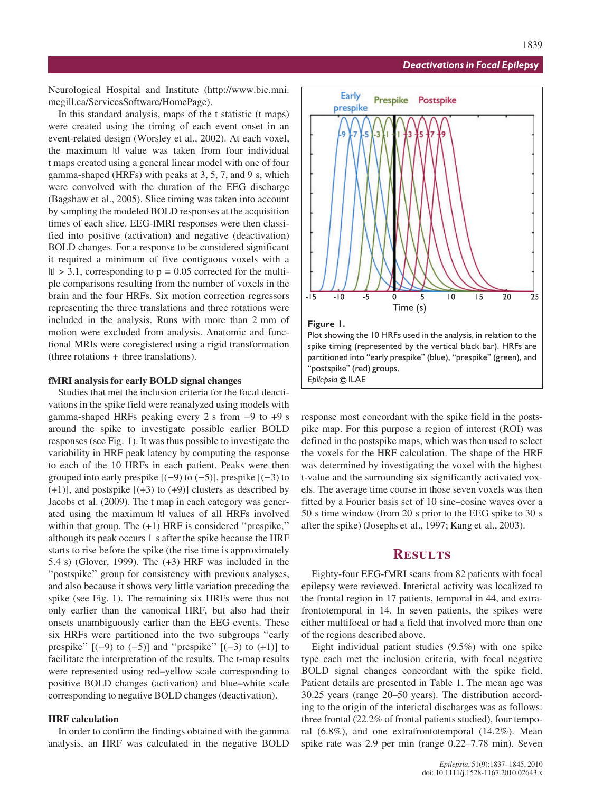Neurological Hospital and Institute (http://www.bic.mni. mcgill.ca/ServicesSoftware/HomePage).

In this standard analysis, maps of the t statistic (t maps) were created using the timing of each event onset in an event-related design (Worsley et al., 2002). At each voxel, the maximum |t| value was taken from four individual t maps created using a general linear model with one of four gamma-shaped (HRFs) with peaks at 3, 5, 7, and 9 s, which were convolved with the duration of the EEG discharge (Bagshaw et al., 2005). Slice timing was taken into account by sampling the modeled BOLD responses at the acquisition times of each slice. EEG-fMRI responses were then classified into positive (activation) and negative (deactivation) BOLD changes. For a response to be considered significant it required a minimum of five contiguous voxels with a  $|t| > 3.1$ , corresponding to  $p = 0.05$  corrected for the multiple comparisons resulting from the number of voxels in the brain and the four HRFs. Six motion correction regressors representing the three translations and three rotations were included in the analysis. Runs with more than 2 mm of motion were excluded from analysis. Anatomic and functional MRIs were coregistered using a rigid transformation (three rotations + three translations).

## fMRI analysis for early BOLD signal changes

Studies that met the inclusion criteria for the focal deactivations in the spike field were reanalyzed using models with gamma-shaped HRFs peaking every 2 s from  $-9$  to  $+9$  s around the spike to investigate possible earlier BOLD responses (see Fig. 1). It was thus possible to investigate the variability in HRF peak latency by computing the response to each of the 10 HRFs in each patient. Peaks were then grouped into early prespike  $[(-9)$  to  $(-5)$ ], prespike  $[(-3)$  to  $(+1)$ ], and postspike  $[ (+3)$  to  $(+9)$ ] clusters as described by Jacobs et al. (2009). The t map in each category was generated using the maximum ltl values of all HRFs involved within that group. The  $(+1)$  HRF is considered "prespike," although its peak occurs 1 s after the spike because the HRF starts to rise before the spike (the rise time is approximately 5.4 s) (Glover, 1999). The (+3) HRF was included in the ''postspike'' group for consistency with previous analyses, and also because it shows very little variation preceding the spike (see Fig. 1). The remaining six HRFs were thus not only earlier than the canonical HRF, but also had their onsets unambiguously earlier than the EEG events. These six HRFs were partitioned into the two subgroups ''early prespike"  $[(-9)$  to  $(-5)$ ] and "prespike"  $[(-3)$  to  $(+1)$ ] to facilitate the interpretation of the results. The t-map results were represented using red–yellow scale corresponding to positive BOLD changes (activation) and blue–white scale corresponding to negative BOLD changes (deactivation).

## HRF calculation

In order to confirm the findings obtained with the gamma analysis, an HRF was calculated in the negative BOLD



response most concordant with the spike field in the postspike map. For this purpose a region of interest (ROI) was defined in the postspike maps, which was then used to select the voxels for the HRF calculation. The shape of the HRF was determined by investigating the voxel with the highest t-value and the surrounding six significantly activated voxels. The average time course in those seven voxels was then fitted by a Fourier basis set of 10 sine–cosine waves over a 50 s time window (from 20 s prior to the EEG spike to 30 s after the spike) (Josephs et al., 1997; Kang et al., 2003).

## **RESULTS**

Eighty-four EEG-fMRI scans from 82 patients with focal epilepsy were reviewed. Interictal activity was localized to the frontal region in 17 patients, temporal in 44, and extrafrontotemporal in 14. In seven patients, the spikes were either multifocal or had a field that involved more than one of the regions described above.

Eight individual patient studies (9.5%) with one spike type each met the inclusion criteria, with focal negative BOLD signal changes concordant with the spike field. Patient details are presented in Table 1. The mean age was 30.25 years (range 20–50 years). The distribution according to the origin of the interictal discharges was as follows: three frontal (22.2% of frontal patients studied), four temporal (6.8%), and one extrafrontotemporal (14.2%). Mean spike rate was 2.9 per min (range 0.22–7.78 min). Seven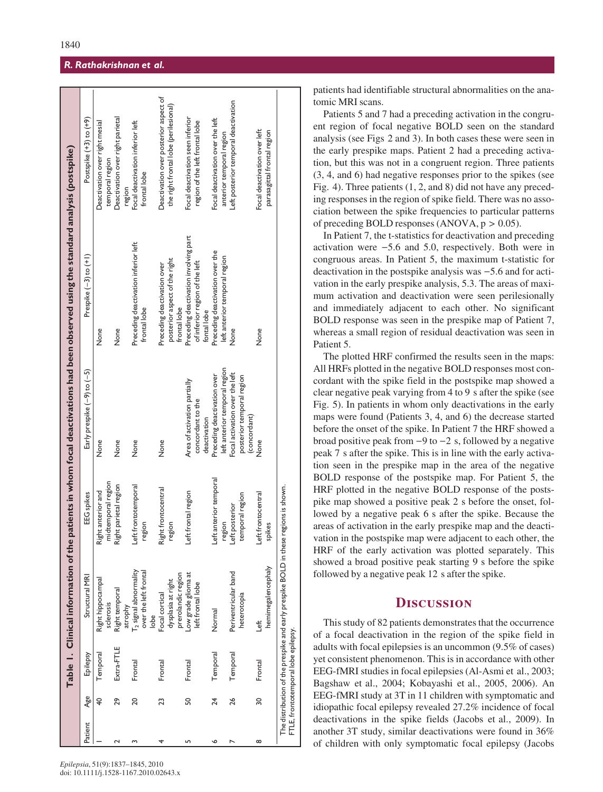|          |                 |                                     |                                                                                     |                                             |                                                                              | Table 1. Clinical information of the patients in whom focal deactivations had been observed using the standard analysis (postspike) |                                                                                |
|----------|-----------------|-------------------------------------|-------------------------------------------------------------------------------------|---------------------------------------------|------------------------------------------------------------------------------|-------------------------------------------------------------------------------------------------------------------------------------|--------------------------------------------------------------------------------|
| Patient  | Age             | Epilepsy                            | Structural MRI                                                                      | EEG spikes                                  | Early prespike (-9) to (-5)                                                  | Prespike (-3) to (+1)                                                                                                               | Postspike (+3) to (+9)                                                         |
|          | ₹               | Temporal                            | Right hippocampal                                                                   | Right anterior and                          | None                                                                         | None                                                                                                                                | Deactivation over right mesial                                                 |
| 2        | 29              | Extra-FTLE                          | Right temporal<br>sclerosis                                                         | midtemporal region<br>Right parietal region | None                                                                         | None                                                                                                                                | Deactivation over right parietal<br>temporal region                            |
| Σ        | 20              | Frontal                             | $\mathsf{\Gamma}_2$ signal abnormality<br>over the left frontal<br>atrophy          | Left frontotemporal<br>region               | None                                                                         | Preceding deactivation inferior left<br>frontal lobe                                                                                | Focal deactivation inferior left<br>frontal lobe<br>region                     |
| 4        | 23              | Frontal                             | dysplasia at right<br>Focal cortical<br>lobe                                        | Right frontocentral<br>region               | None                                                                         | posterior aspect of the right<br>Preceding deactivation over                                                                        | Deactivation over posterior aspect of<br>the right frontal lobe (perilesional) |
| S        | SO              | Frontal                             | Low grade glioma at<br>prerolandic region<br>left frontal lobe                      | Left frontal region                         | Area of activation partially<br>concordant to the                            | Preceding deactivation involving part<br>of inferior region of the left<br>frontal lobe                                             | Focal deactivation seen inferior<br>region of the left frontal lobe            |
| P        | $^{24}$         | Temporal                            | Normal                                                                              | eft anterior temporal                       | left anterior temporal region<br>Preceding deactivation over<br>deactivation | Preceding deactivation over the<br>left anterior temporal region<br>fontal lobe                                                     | Focal deactivation over the left                                               |
| N        | 26              | Temporal                            | Periventricular band<br>heterotopia                                                 | temporal region<br>Left posterior<br>region | Focal activation over the left<br>posterior temporal region                  | None                                                                                                                                | Left posterior temporal deactivation<br>anterior temporal region               |
| $\infty$ | $\overline{30}$ | Frontal                             | hemimegalencephaly<br>Let                                                           | eft frontocentral<br>spikes                 | (concordant)<br>None                                                         | None                                                                                                                                | Focal deactivation over left<br>parasagittal frontal region                    |
|          |                 | FTLE, frontotemporal lobe epilepsy. | The distribution of the prespike and early prespike BOLD in these regions is shown. |                                             |                                                                              |                                                                                                                                     |                                                                                |

patients had identifiable structural abnormalities on the anatomic MRI scans.

Patients 5 and 7 had a preceding activation in the congruent region of focal negative BOLD seen on the standard analysis (see Figs 2 and 3). In both cases these were seen in the early prespike maps. Patient 2 had a preceding activation, but this was not in a congruent region. Three patients (3, 4, and 6) had negative responses prior to the spikes (see Fig. 4). Three patients (1, 2, and 8) did not have any preceding responses in the region of spike field. There was no association between the spike frequencies to particular patterns of preceding BOLD responses (ANOVA, p > 0.05).

In Patient 7, the t-statistics for deactivation and preceding activation were  $-5.6$  and 5.0, respectively. Both were in congruous areas. In Patient 5, the maximum t-statistic for deactivation in the postspike analysis was  $-5.6$  and for activation in the early prespike analysis, 5.3. The areas of maximum activation and deactivation were seen perilesionally and immediately adjacent to each other. No significant BOLD response was seen in the prespike map of Patient 7, whereas a small region of residual deactivation was seen in Patient 5.

The plotted HRF confirmed the results seen in the maps: All HRFs plotted in the negative BOLD responses most concordant with the spike field in the postspike map showed a clear negative peak varying from 4 to 9 s after the spike (see Fig. 5). In patients in whom only deactivations in the early maps were found (Patients 3, 4, and 6) the decrease started before the onset of the spike. In Patient 7 the HRF showed a broad positive peak from  $-9$  to  $-2$  s, followed by a negative peak 7 s after the spike. This is in line with the early activation seen in the prespike map in the area of the negative BOLD response of the postspike map. For Patient 5, the HRF plotted in the negative BOLD response of the postspike map showed a positive peak 2 s before the onset, followed by a negative peak 6 s after the spike. Because the areas of activation in the early prespike map and the deactivation in the postspike map were adjacent to each other, the HRF of the early activation was plotted separately. This showed a broad positive peak starting 9 s before the spike followed by a negative peak 12 s after the spike.

# **DISCUSSION**

This study of 82 patients demonstrates that the occurrence of a focal deactivation in the region of the spike field in adults with focal epilepsies is an uncommon (9.5% of cases) yet consistent phenomenon. This is in accordance with other EEG-fMRI studies in focal epilepsies (Al-Asmi et al., 2003; Bagshaw et al., 2004; Kobayashi et al., 2005, 2006). An EEG-fMRI study at 3T in 11 children with symptomatic and idiopathic focal epilepsy revealed 27.2% incidence of focal deactivations in the spike fields (Jacobs et al., 2009). In another 3T study, similar deactivations were found in 36% of children with only symptomatic focal epilepsy (Jacobs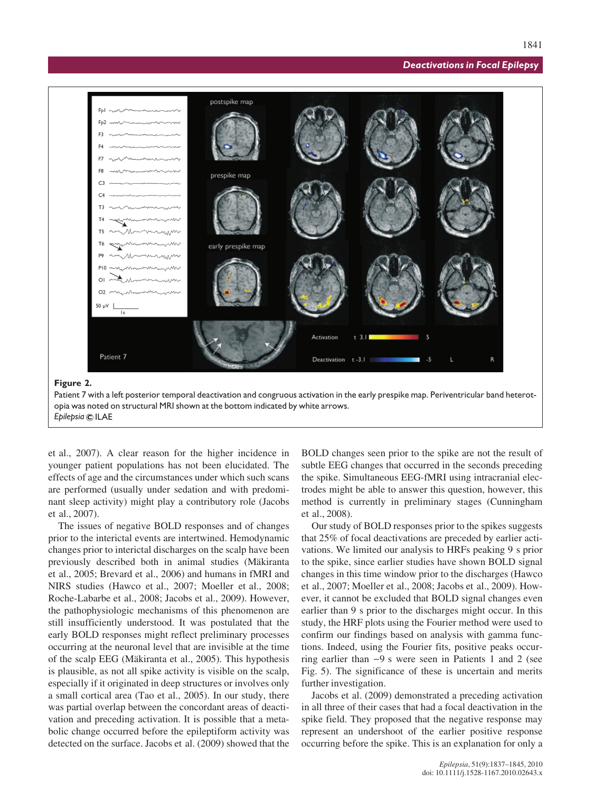

Epilepsia © ILAE

et al., 2007). A clear reason for the higher incidence in younger patient populations has not been elucidated. The effects of age and the circumstances under which such scans are performed (usually under sedation and with predominant sleep activity) might play a contributory role (Jacobs et al., 2007).

The issues of negative BOLD responses and of changes prior to the interictal events are intertwined. Hemodynamic changes prior to interictal discharges on the scalp have been previously described both in animal studies (Mäkiranta et al., 2005; Brevard et al., 2006) and humans in fMRI and NIRS studies (Hawco et al., 2007; Moeller et al., 2008; Roche-Labarbe et al., 2008; Jacobs et al., 2009). However, the pathophysiologic mechanisms of this phenomenon are still insufficiently understood. It was postulated that the early BOLD responses might reflect preliminary processes occurring at the neuronal level that are invisible at the time of the scalp EEG (Mäkiranta et al., 2005). This hypothesis is plausible, as not all spike activity is visible on the scalp, especially if it originated in deep structures or involves only a small cortical area (Tao et al., 2005). In our study, there was partial overlap between the concordant areas of deactivation and preceding activation. It is possible that a metabolic change occurred before the epileptiform activity was detected on the surface. Jacobs et al. (2009) showed that the

BOLD changes seen prior to the spike are not the result of subtle EEG changes that occurred in the seconds preceding the spike. Simultaneous EEG-fMRI using intracranial electrodes might be able to answer this question, however, this method is currently in preliminary stages (Cunningham et al., 2008).

Our study of BOLD responses prior to the spikes suggests that 25% of focal deactivations are preceded by earlier activations. We limited our analysis to HRFs peaking 9 s prior to the spike, since earlier studies have shown BOLD signal changes in this time window prior to the discharges (Hawco et al., 2007; Moeller et al., 2008; Jacobs et al., 2009). However, it cannot be excluded that BOLD signal changes even earlier than 9 s prior to the discharges might occur. In this study, the HRF plots using the Fourier method were used to confirm our findings based on analysis with gamma functions. Indeed, using the Fourier fits, positive peaks occurring earlier than  $-9$  s were seen in Patients 1 and 2 (see Fig. 5). The significance of these is uncertain and merits further investigation.

Jacobs et al. (2009) demonstrated a preceding activation in all three of their cases that had a focal deactivation in the spike field. They proposed that the negative response may represent an undershoot of the earlier positive response occurring before the spike. This is an explanation for only a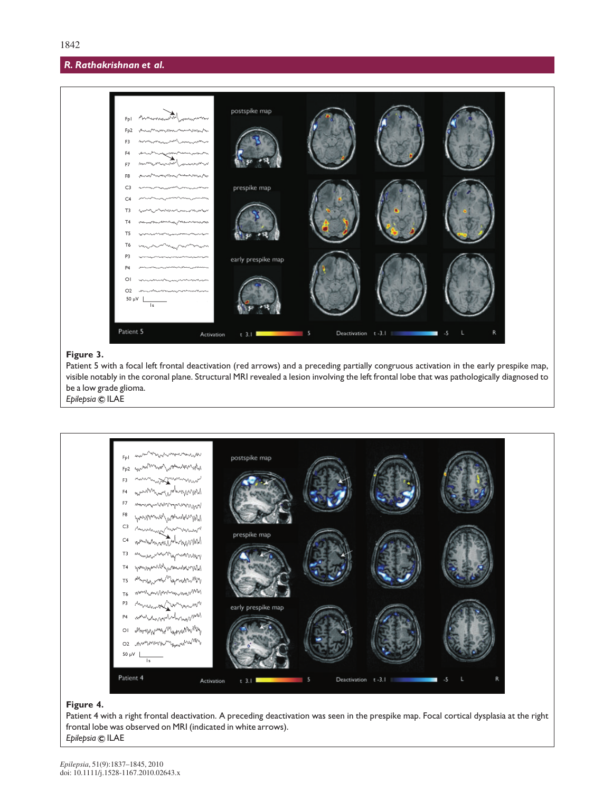

# Figure 3.

Patient 5 with a focal left frontal deactivation (red arrows) and a preceding partially congruous activation in the early prespike map, visible notably in the coronal plane. Structural MRI revealed a lesion involving the left frontal lobe that was pathologically diagnosed to be a low grade glioma. Epilepsia © ILAE



## Figure 4.

Patient 4 with a right frontal deactivation. A preceding deactivation was seen in the prespike map. Focal cortical dysplasia at the right frontal lobe was observed on MRI (indicated in white arrows). Epilepsia © ILAE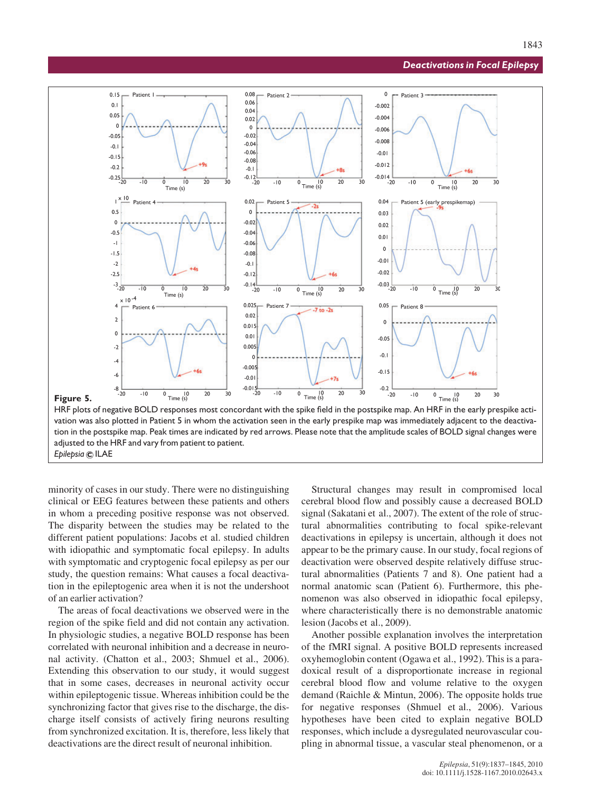

vation was also plotted in Patient 5 in whom the activation seen in the early prespike map was immediately adjacent to the deactivation in the postspike map. Peak times are indicated by red arrows. Please note that the amplitude scales of BOLD signal changes were adjusted to the HRF and vary from patient to patient. Epilepsia © ILAE

minority of cases in our study. There were no distinguishing clinical or EEG features between these patients and others in whom a preceding positive response was not observed. The disparity between the studies may be related to the different patient populations: Jacobs et al. studied children with idiopathic and symptomatic focal epilepsy. In adults with symptomatic and cryptogenic focal epilepsy as per our study, the question remains: What causes a focal deactivation in the epileptogenic area when it is not the undershoot

of an earlier activation?

The areas of focal deactivations we observed were in the region of the spike field and did not contain any activation. In physiologic studies, a negative BOLD response has been correlated with neuronal inhibition and a decrease in neuronal activity. (Chatton et al., 2003; Shmuel et al., 2006). Extending this observation to our study, it would suggest that in some cases, decreases in neuronal activity occur within epileptogenic tissue. Whereas inhibition could be the synchronizing factor that gives rise to the discharge, the discharge itself consists of actively firing neurons resulting from synchronized excitation. It is, therefore, less likely that deactivations are the direct result of neuronal inhibition.

Structural changes may result in compromised local cerebral blood flow and possibly cause a decreased BOLD signal (Sakatani et al., 2007). The extent of the role of structural abnormalities contributing to focal spike-relevant deactivations in epilepsy is uncertain, although it does not appear to be the primary cause. In our study, focal regions of deactivation were observed despite relatively diffuse structural abnormalities (Patients 7 and 8). One patient had a normal anatomic scan (Patient 6). Furthermore, this phenomenon was also observed in idiopathic focal epilepsy, where characteristically there is no demonstrable anatomic lesion (Jacobs et al., 2009).

Another possible explanation involves the interpretation of the fMRI signal. A positive BOLD represents increased oxyhemoglobin content (Ogawa et al., 1992). This is a paradoxical result of a disproportionate increase in regional cerebral blood flow and volume relative to the oxygen demand (Raichle & Mintun, 2006). The opposite holds true for negative responses (Shmuel et al., 2006). Various hypotheses have been cited to explain negative BOLD responses, which include a dysregulated neurovascular coupling in abnormal tissue, a vascular steal phenomenon, or a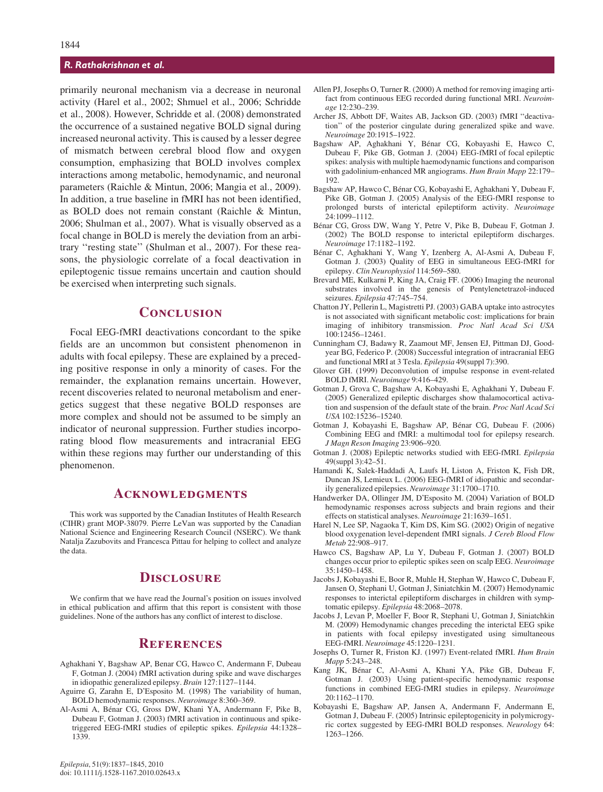primarily neuronal mechanism via a decrease in neuronal activity (Harel et al., 2002; Shmuel et al., 2006; Schridde et al., 2008). However, Schridde et al. (2008) demonstrated the occurrence of a sustained negative BOLD signal during increased neuronal activity. This is caused by a lesser degree of mismatch between cerebral blood flow and oxygen consumption, emphasizing that BOLD involves complex interactions among metabolic, hemodynamic, and neuronal parameters (Raichle & Mintun, 2006; Mangia et al., 2009). In addition, a true baseline in fMRI has not been identified, as BOLD does not remain constant (Raichle & Mintun, 2006; Shulman et al., 2007). What is visually observed as a focal change in BOLD is merely the deviation from an arbitrary ''resting state'' (Shulman et al., 2007). For these reasons, the physiologic correlate of a focal deactivation in epileptogenic tissue remains uncertain and caution should be exercised when interpreting such signals.

# **CONCLUSION**

Focal EEG-fMRI deactivations concordant to the spike fields are an uncommon but consistent phenomenon in adults with focal epilepsy. These are explained by a preceding positive response in only a minority of cases. For the remainder, the explanation remains uncertain. However, recent discoveries related to neuronal metabolism and energetics suggest that these negative BOLD responses are more complex and should not be assumed to be simply an indicator of neuronal suppression. Further studies incorporating blood flow measurements and intracranial EEG within these regions may further our understanding of this phenomenon.

# **ACKNOWLEDGMENTS**

This work was supported by the Canadian Institutes of Health Research (CIHR) grant MOP-38079. Pierre LeVan was supported by the Canadian National Science and Engineering Research Council (NSERC). We thank Natalja Zazubovits and Francesca Pittau for helping to collect and analyze the data.

# **DISCLOSURE**

We confirm that we have read the Journal's position on issues involved in ethical publication and affirm that this report is consistent with those guidelines. None of the authors has any conflict of interest to disclose.

# **REFERENCES**

- Aghakhani Y, Bagshaw AP, Benar CG, Hawco C, Andermann F, Dubeau F, Gotman J. (2004) fMRI activation during spike and wave discharges in idiopathic generalized epilepsy. Brain 127:1127–1144.
- Aguirre G, Zarahn E, D'Esposito M. (1998) The variability of human, BOLD hemodynamic responses. Neuroimage 8:360–369.
- Al-Asmi A, Bénar CG, Gross DW, Khani YA, Andermann F, Pike B, Dubeau F, Gotman J. (2003) fMRI activation in continuous and spiketriggered EEG-fMRI studies of epileptic spikes. Epilepsia 44:1328– 1339.
- Allen PJ, Josephs O, Turner R. (2000) A method for removing imaging artifact from continuous EEG recorded during functional MRI. Neuroimage 12:230–239.
- Archer JS, Abbott DF, Waites AB, Jackson GD. (2003) fMRI ''deactivation'' of the posterior cingulate during generalized spike and wave. Neuroimage 20:1915–1922.
- Bagshaw AP, Aghakhani Y, Bénar CG, Kobayashi E, Hawco C, Dubeau F, Pike GB, Gotman J. (2004) EEG-fMRI of focal epileptic spikes: analysis with multiple haemodynamic functions and comparison with gadolinium-enhanced MR angiograms. Hum Brain Mapp 22:179– 192.
- Bagshaw AP, Hawco C, Bénar CG, Kobayashi E, Aghakhani Y, Dubeau F, Pike GB, Gotman J. (2005) Analysis of the EEG-fMRI response to prolonged bursts of interictal epileptiform activity. Neuroimage 24:1099–1112.
- Bénar CG, Gross DW, Wang Y, Petre V, Pike B, Dubeau F, Gotman J. (2002) The BOLD response to interictal epileptiform discharges. Neuroimage 17:1182–1192.
- Bénar C, Aghakhani Y, Wang Y, Izenberg A, Al-Asmi A, Dubeau F, Gotman J. (2003) Quality of EEG in simultaneous EEG-fMRI for epilepsy. Clin Neurophysiol 114:569–580.
- Brevard ME, Kulkarni P, King JA, Craig FF. (2006) Imaging the neuronal substrates involved in the genesis of Pentylenetetrazol-induced seizures. Epilepsia 47:745–754.
- Chatton JY, Pellerin L, Magistretti PJ. (2003) GABA uptake into astrocytes is not associated with significant metabolic cost: implications for brain imaging of inhibitory transmission. Proc Natl Acad Sci USA 100:12456–12461.
- Cunningham CJ, Badawy R, Zaamout MF, Jensen EJ, Pittman DJ, Goodyear BG, Federico P. (2008) Successful integration of intracranial EEG and functional MRI at 3 Tesla. Epilepsia 49(suppl 7):390.
- Glover GH. (1999) Deconvolution of impulse response in event-related BOLD fMRI. Neuroimage 9:416–429.
- Gotman J, Grova C, Bagshaw A, Kobayashi E, Aghakhani Y, Dubeau F. (2005) Generalized epileptic discharges show thalamocortical activation and suspension of the default state of the brain. Proc Natl Acad Sci USA 102:15236–15240.
- Gotman J, Kobayashi E, Bagshaw AP, Bénar CG, Dubeau F. (2006) Combining EEG and fMRI: a multimodal tool for epilepsy research. J Magn Reson Imaging 23:906–920.
- Gotman J. (2008) Epileptic networks studied with EEG-fMRI. Epilepsia 49(suppl 3):42–51.
- Hamandi K, Salek-Haddadi A, Laufs H, Liston A, Friston K, Fish DR, Duncan JS, Lemieux L. (2006) EEG-fMRI of idiopathic and secondarily generalized epilepsies. Neuroimage 31:1700–1710.
- Handwerker DA, Ollinger JM, D'Esposito M. (2004) Variation of BOLD hemodynamic responses across subjects and brain regions and their effects on statistical analyses. Neuroimage 21:1639–1651.
- Harel N, Lee SP, Nagaoka T, Kim DS, Kim SG. (2002) Origin of negative blood oxygenation level-dependent fMRI signals. J Cereb Blood Flow Metab 22:908–917.
- Hawco CS, Bagshaw AP, Lu Y, Dubeau F, Gotman J. (2007) BOLD changes occur prior to epileptic spikes seen on scalp EEG. Neuroimage 35:1450–1458.
- Jacobs J, Kobayashi E, Boor R, Muhle H, Stephan W, Hawco C, Dubeau F, Jansen O, Stephani U, Gotman J, Siniatchkin M. (2007) Hemodynamic responses to interictal epileptiform discharges in children with symptomatic epilepsy. Epilepsia 48:2068–2078.
- Jacobs J, Levan P, Moeller F, Boor R, Stephani U, Gotman J, Siniatchkin M. (2009) Hemodynamic changes preceding the interictal EEG spike in patients with focal epilepsy investigated using simultaneous EEG-fMRI. Neuroimage 45:1220–1231.
- Josephs O, Turner R, Friston KJ. (1997) Event-related fMRI. Hum Brain Mapp 5:243–248.
- Kang JK, Bénar C, Al-Asmi A, Khani YA, Pike GB, Dubeau F, Gotman J. (2003) Using patient-specific hemodynamic response functions in combined EEG-fMRI studies in epilepsy. Neuroimage 20:1162–1170.
- Kobayashi E, Bagshaw AP, Jansen A, Andermann F, Andermann E, Gotman J, Dubeau F. (2005) Intrinsic epileptogenicity in polymicrogyric cortex suggested by EEG-fMRI BOLD responses. Neurology 64: 1263–1266.